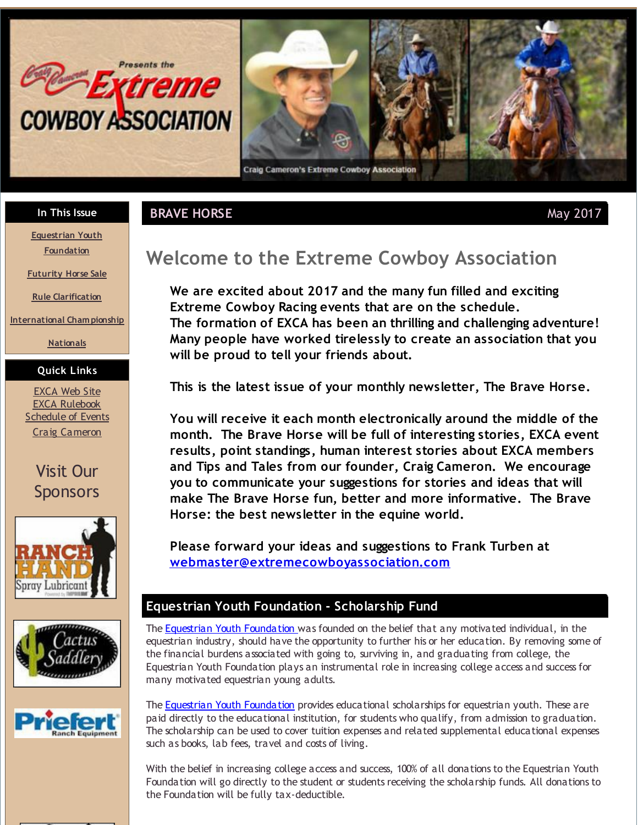<span id="page-0-0"></span>



**In This Issue**

**[Equestrian](#page-0-0) Youth Foundation**

**[Futurity](#page-0-0) Horse Sale**

**Rule [Clarification](#page-0-0)**

**[International](#page-0-0) Cham pionship**

**[Nationals](#page-0-0)**

#### **Quick Links**

[EXCA](http://r20.rs6.net/tn.jsp?f=001ezJKvZRxrsEVCZxF3k_Ld0lvWEpOhdo6FfRwXXxl9eIx14_vurbtLVd5qc44NytdVO1RZHglZaOuttm944a26Av_8-8Nd-z9FXuYSj1l4MwWRGoeDJvtbWcQ-u1cxR5ViIL2x-I2a0pechHjMT_cWjfT47k9_kxh59A2ShrC2_2kA4N277Z24YGoxL1x3lfG&c=&ch=) Web Site EXCA [Rulebook](http://r20.rs6.net/tn.jsp?f=001ezJKvZRxrsEVCZxF3k_Ld0lvWEpOhdo6FfRwXXxl9eIx14_vurbtLWyqLt8FdbrFgkxHUEEZQM8LdvlubIRNYPx3l5wxZCPuBfE-SwJhlBI7MKHRywCMAoGUHZj7GWgdX9tWVMKpBBY_R1VwgOuCumaecVPGfiMsdZ0BM7JP8lj3kYlv0vCS6eNTK7pBH1SeWjTOXekHkJnigl3trYtl9A==&c=&ch=) **[Schedule](http://r20.rs6.net/tn.jsp?f=001ezJKvZRxrsEVCZxF3k_Ld0lvWEpOhdo6FfRwXXxl9eIx14_vurbtLWyqLt8FdbrFnNX98_I4vKHSl0z73DLAaburpoCwCzQBK-ItKvSjqYyS8QhSTAVkHHy4XhbzzuDDC_TP3Uzk0MKiZOTfvepekZYn3eHHkCCqvGeCjY0H80qH_PpyNQiCJUP0j-Kmg607Gii8u6ffwxFZqEh-2hTLAg==&c=&ch=) of Events** Craig [Cameron](http://r20.rs6.net/tn.jsp?f=001ezJKvZRxrsEVCZxF3k_Ld0lvWEpOhdo6FfRwXXxl9eIx14_vurbtLd1GnXl67faX134UtXn5CpUxTInugBqXYDvAqkKcdfpeTddf7eXy8SsXAxKYcgg64qzwkGzQ-XqCxhr3_vE7XW0ArtycFPerLIQvVxFHyejWYkXKWuitsww=&c=&ch=)









# **Welcome to the Extreme Cowboy Association**

**We are excited about 2017 and the many fun filled and exciting Extreme Cowboy Racing events that are on the schedule. The formation of EXCA has been an thrilling and challenging adventure! Many people have worked tirelessly to create an association that you will be proud to tell your friends about.**

**This is the latest issue of your monthly newsletter, The Brave Horse.**

**You will receive it each month electronically around the middle of the month. The Brave Horse will be full of interesting stories, EXCA event results, point standings, human interest stories about EXCA members and Tips and Tales from our founder, Craig Cameron. We encourage you to communicate your suggestions for stories and ideas that will make The Brave Horse fun, better and more informative. The Brave Horse: the best newsletter in the equine world.**

**Please forward your ideas and suggestions to Frank Turben at [webmaster@extremecowboyassociation.com](mailto:webmaster@extremecowboyassociation.com)**

#### **Equestrian Youth Foundation - Scholarship Fund**

The Equestrian Youth [Foundation](http://r20.rs6.net/tn.jsp?f=001ezJKvZRxrsEVCZxF3k_Ld0lvWEpOhdo6FfRwXXxl9eIx14_vurbtLbJ-sOAHFfm8Klzm_SmlZNHueMZ2J_hH6696KgwGJIIZtKtLcNp6tak_CpWoyux1U2pF0w9KRzjcQ3hzUA4zlO4YVcQtuPAEdklhA0gGz4xUR_Tx6JESmaVW-ro-wQIP2iM4ASyUCUZ8&c=&ch=) was founded on the belief that any motivated individual, in the equestrian industry, should have the opportunity to further his or her education. By removing some of the financial burdens associated with going to, surviving in, and graduating from college, the Equestrian Youth Foundation plays an instrumental role in increasing college access and success for many motivated equestrian young adults.

The Equestrian Youth [Foundation](http://r20.rs6.net/tn.jsp?f=001ezJKvZRxrsEVCZxF3k_Ld0lvWEpOhdo6FfRwXXxl9eIx14_vurbtLbJ-sOAHFfm8Klzm_SmlZNHueMZ2J_hH6696KgwGJIIZtKtLcNp6tak_CpWoyux1U2pF0w9KRzjcQ3hzUA4zlO4YVcQtuPAEdklhA0gGz4xUR_Tx6JESmaVW-ro-wQIP2iM4ASyUCUZ8&c=&ch=) provides educational scholarships for equestrian youth. These are paid directly to the educational institution, for students who qualify, from admission to graduation. The scholarship can be used to cover tuition expenses and related supplemental educational expenses such as books, lab fees, travel and costs of living.

With the belief in increasing college access and success, 100% of all donations to the Equestrian Youth Foundation will go directly to the student or students receiving the scholarship funds. All donations to the Foundation will be fully tax-deductible.

**BRAVE HORSE** May 2017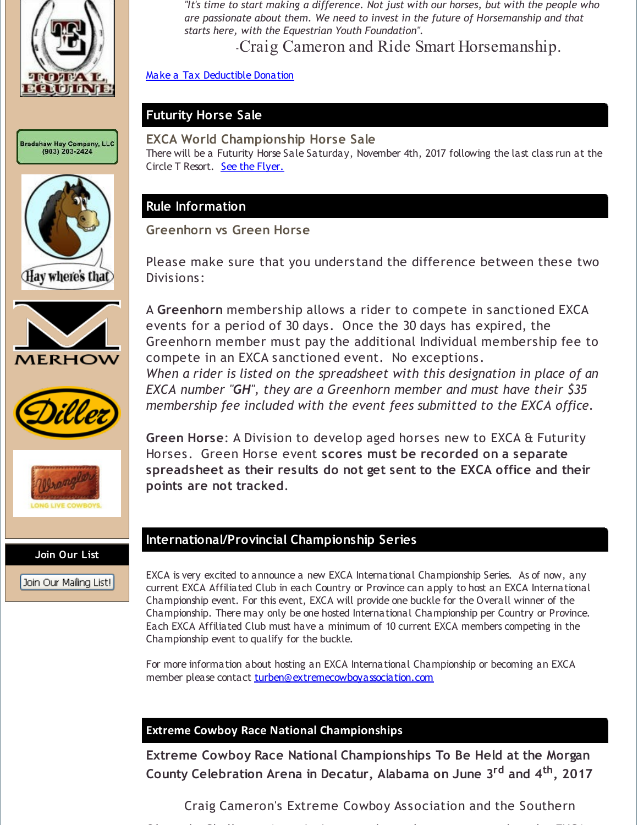

Bradshaw Hay Company, LLC<br>(903) 203-2424











**Join Our List**

Join Our Mailing List!

*"It's time to start making a difference. Not just with our horses, but with the people who are passionate about them. We need to invest in the future of Horsemanship and that starts here, with the Equestrian Youth Foundation".*

-Craig Cameron and Ride Smart Horsemanship.

Make a Tax [Deductible](http://r20.rs6.net/tn.jsp?f=001ezJKvZRxrsEVCZxF3k_Ld0lvWEpOhdo6FfRwXXxl9eIx14_vurbtLbJ-sOAHFfm8tCSpCwFw0rUBz81Md7yQYKC2Rpivu_u4Px-azF-W3y20r7KiCYmWw4-TuZoxIV19tyXbl4B7lR3rK81BbNEVQHoh5ywbqiLGooocG5HU8REYRvHJ8_-9wmMxQjkggG7NIRqwCnvLMkQ=&c=&ch=) Donation

#### **Futurity Horse Sale**

#### **EXCA World Championship Horse Sale**

There will be a Futurity Horse Sale Saturday, November 4th, 2017 following the last class run at the Circle T Resort. See the [Flyer.](http://r20.rs6.net/tn.jsp?f=001ezJKvZRxrsEVCZxF3k_Ld0lvWEpOhdo6FfRwXXxl9eIx14_vurbtLbJ-sOAHFfm8xS3l4Id9Pu7Lm4YJKcbbZf2uel7fgHsWarEDxBNMj5t_xRde7ej0gNhlfsV5e2OE1JVtbAKriMt5DDBE173X0UWKgwSe6Tea3UR9R9fsnIcATFIFxkH9A2ewppNcnnCId9YGu5qOwqpJhevA17vxyccw1ZK1LDsgvS6VYdzEuXE=&c=&ch=)

# **Rule Information**

**Greenhorn vs Green Horse**

Please make sure that you understand the difference between these two Divisions:

A **Greenhorn** membership allows a rider to compete in sanctioned EXCA events for a period of 30 days. Once the 30 days has expired, the Greenhorn member must pay the additional Individual membership fee to compete in an EXCA sanctioned event. No exceptions. *When a rider is listed on the spreadsheet with this designation in place of an EXCA number "GH", they are a Greenhorn member and must have their \$35*

*membership fee included with the event fees submitted to the EXCA office.*

**Green Horse**: A Division to develop aged horses new to EXCA & Futurity Horses. Green Horse event **scores must be recorded on a separate spreadsheet as their results do not get sent to the EXCA office and their points are not tracked**.

# **International/Provincial Championship Series**

EXCA is very excited to announce a new EXCA International Championship Series. As of now, any current EXCA Affiliated Club in each Country or Province can apply to host an EXCA International Championship event. For this event, EXCA will provide one buckle for the Overall winner of the Championship. There may only be one hosted International Championship per Country or Province. Each EXCA Affiliated Club must have a minimum of 10 current EXCA members competing in the Championship event to qualify for the buckle.

For more information about hosting an EXCA International Championship or becoming an EXCA member please contact [turben@extremecowboyassociation.com](mailto:turben@extremecowboyassociation.com)

#### **Extreme Cowboy Race National Championships**

**Extreme Cowboy Race National Championships To Be Held at the Morgan County Celebration Arena in Decatur, Alabama on June 3 rd and 4 th , 2017**

Craig Cameron's Extreme Cowboy Association and the Southern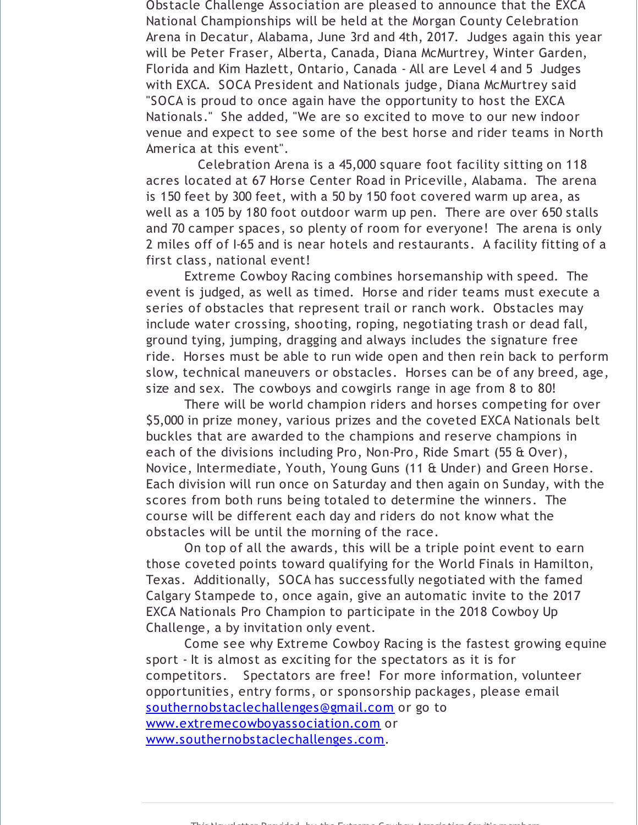Obstacle Challenge Association are pleased to announce that the EXCA National Championships will be held at the Morgan County Celebration Arena in Decatur, Alabama, June 3rd and 4th, 2017. Judges again this year will be Peter Fraser, Alberta, Canada, Diana McMurtrey, Winter Garden, Florida and Kim Hazlett, Ontario, Canada - All are Level 4 and 5 Judges with EXCA. SOCA President and Nationals judge, Diana McMurtrey said "SOCA is proud to once again have the opportunity to host the EXCA Nationals." She added, "We are so excited to move to our new indoor venue and expect to see some of the best horse and rider teams in North America at this event".

Celebration Arena is a 45,000 square foot facility sitting on 118 acres located at 67 Horse Center Road in Priceville, Alabama. The arena is 150 feet by 300 feet, with a 50 by 150 foot covered warm up area, as well as a 105 by 180 foot outdoor warm up pen. There are over 650 stalls and 70 camper spaces, so plenty of room for everyone! The arena is only 2 miles off of I-65 and is near hotels and restaurants. A facility fitting of a first class, national event!

Extreme Cowboy Racing combines horsemanship with speed. The event is judged, as well as timed. Horse and rider teams must execute a series of obstacles that represent trail or ranch work. Obstacles may include water crossing, shooting, roping, negotiating trash or dead fall, ground tying, jumping, dragging and always includes the signature free ride. Horses must be able to run wide open and then rein back to perform slow, technical maneuvers or obstacles. Horses can be of any breed, age, size and sex. The cowboys and cowgirls range in age from 8 to 80!

There will be world champion riders and horses competing for over \$5,000 in prize money, various prizes and the coveted EXCA Nationals belt buckles that are awarded to the champions and reserve champions in each of the divisions including Pro, Non-Pro, Ride Smart (55 & Over), Novice, Intermediate, Youth, Young Guns (11 & Under) and Green Horse. Each division will run once on Saturday and then again on Sunday, with the scores from both runs being totaled to determine the winners. The course will be different each day and riders do not know what the obstacles will be until the morning of the race.

On top of all the awards, this will be a triple point event to earn those coveted points toward qualifying for the World Finals in Hamilton, Texas. Additionally, SOCA has successfully negotiated with the famed Calgary Stampede to, once again, give an automatic invite to the 2017 EXCA Nationals Pro Champion to participate in the 2018 Cowboy Up Challenge, a by invitation only event.

Come see why Extreme Cowboy Racing is the fastest growing equine sport - It is almost as exciting for the spectators as it is for competitors. Spectators are free! For more information, volunteer opportunities, entry forms, or sponsorship packages, please email [southernobstaclechallenges@gmail.com](mailto:southernobstaclechallenges@gmail.com) or go to [www.extremecowboyassociation.com](http://r20.rs6.net/tn.jsp?f=001ezJKvZRxrsEVCZxF3k_Ld0lvWEpOhdo6FfRwXXxl9eIx14_vurbtLabEbE8ZmXRDLRebEiZuWpbQnHsX7aMBUxrEgdka1WxjgOv-MYGq-2Y8SUkGij6IemMY5u1ng7gSbyfl4TW_mrMihtXH9aStlpOk9gR6HBAUXU6nTmd4lWQcK3K7EwEzkLCGNCGaTzGb&c=&ch=) or [www.southernobstaclechallenges.com](http://r20.rs6.net/tn.jsp?f=001ezJKvZRxrsEVCZxF3k_Ld0lvWEpOhdo6FfRwXXxl9eIx14_vurbtLVqu4KwZzr8cG8M7qQqp4voEQonVJVh7ljfppAUX-upWqu5xz04Lti557v6vzBT_S69i7GQuc7Z8w_O-iS-oC4jAl2CQ47_NYYO2hPXUqIPD5N10OqNMk2FivFI-SzRzrHLbVmNiwOxJ3Vc-SHm_CLo=&c=&ch=).